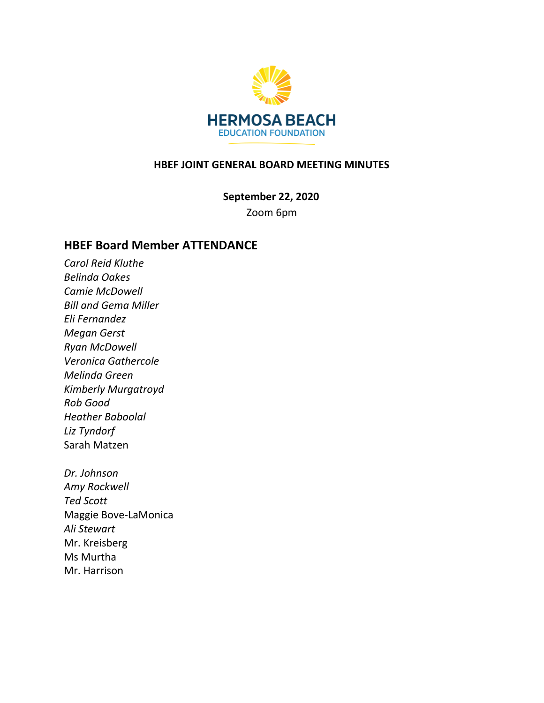

#### **HBEF JOINT GENERAL BOARD MEETING MINUTES**

**September 22, 2020**

Zoom 6pm

### **HBEF Board Member ATTENDANCE**

*Carol Reid Kluthe Belinda Oakes Camie McDowell Bill and Gema Miller Eli Fernandez Megan Gerst Ryan McDowell Veronica Gathercole Melinda Green Kimberly Murgatroyd Rob Good Heather Baboolal Liz Tyndorf* Sarah Matzen

*Dr. Johnson Amy Rockwell Ted Scott* Maggie Bove-LaMonica *Ali Stewart* Mr. Kreisberg Ms Murtha Mr. Harrison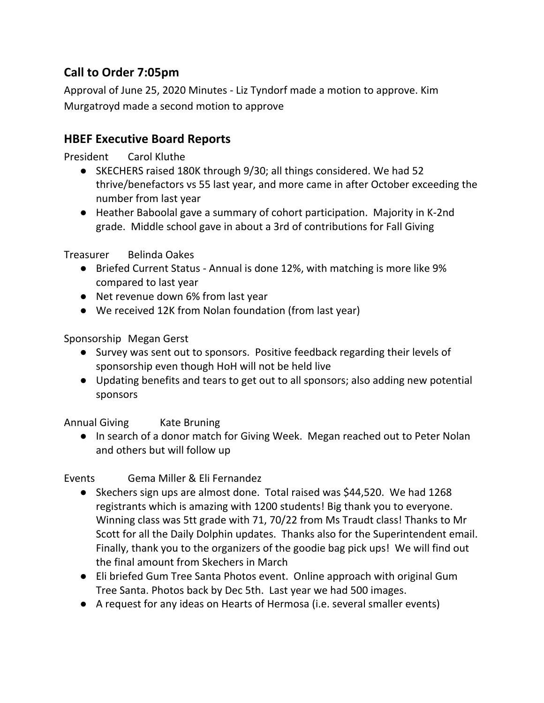# **Call to Order 7:05pm**

Approval of June 25, 2020 Minutes - Liz Tyndorf made a motion to approve. Kim Murgatroyd made a second motion to approve

## **HBEF Executive Board Reports**

President Carol Kluthe

- SKECHERS raised 180K through 9/30; all things considered. We had 52 thrive/benefactors vs 55 last year, and more came in after October exceeding the number from last year
- Heather Baboolal gave a summary of cohort participation. Majority in K-2nd grade. Middle school gave in about a 3rd of contributions for Fall Giving

#### Treasurer Belinda Oakes

- Briefed Current Status Annual is done 12%, with matching is more like 9% compared to last year
- Net revenue down 6% from last year
- We received 12K from Nolan foundation (from last year)

Sponsorship Megan Gerst

- Survey was sent out to sponsors. Positive feedback regarding their levels of sponsorship even though HoH will not be held live
- Updating benefits and tears to get out to all sponsors; also adding new potential sponsors

Annual Giving Kate Bruning

● In search of a donor match for Giving Week. Megan reached out to Peter Nolan and others but will follow up

Events Gema Miller & Eli Fernandez

- Skechers sign ups are almost done. Total raised was \$44,520. We had 1268 registrants which is amazing with 1200 students! Big thank you to everyone. Winning class was 5tt grade with 71, 70/22 from Ms Traudt class! Thanks to Mr Scott for all the Daily Dolphin updates. Thanks also for the Superintendent email. Finally, thank you to the organizers of the goodie bag pick ups! We will find out the final amount from Skechers in March
- Eli briefed Gum Tree Santa Photos event. Online approach with original Gum Tree Santa. Photos back by Dec 5th. Last year we had 500 images.
- A request for any ideas on Hearts of Hermosa (i.e. several smaller events)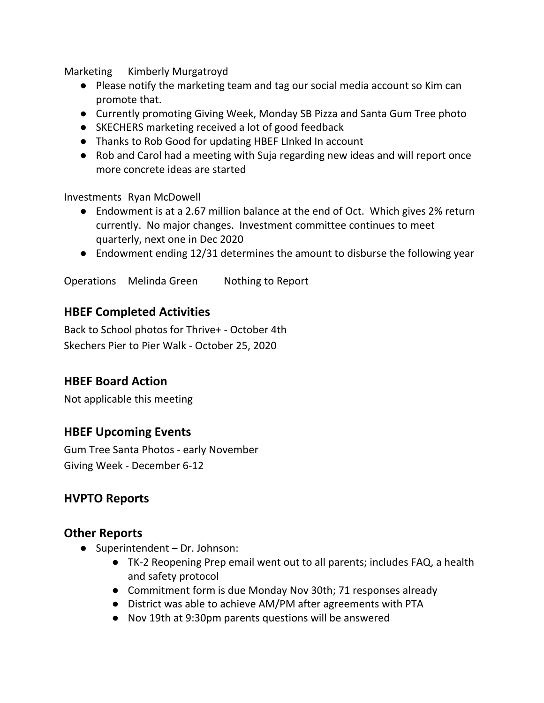Marketing Kimberly Murgatroyd

- Please notify the marketing team and tag our social media account so Kim can promote that.
- Currently promoting Giving Week, Monday SB Pizza and Santa Gum Tree photo
- SKECHERS marketing received a lot of good feedback
- Thanks to Rob Good for updating HBEF LInked In account
- Rob and Carol had a meeting with Suja regarding new ideas and will report once more concrete ideas are started

Investments Ryan McDowell

- Endowment is at a 2.67 million balance at the end of Oct. Which gives 2% return currently. No major changes. Investment committee continues to meet quarterly, next one in Dec 2020
- Endowment ending 12/31 determines the amount to disburse the following year

Operations Melinda Green Nothing to Report

### **HBEF Completed Activities**

Back to School photos for Thrive+ - October 4th Skechers Pier to Pier Walk - October 25, 2020

### **HBEF Board Action**

Not applicable this meeting

### **HBEF Upcoming Events**

Gum Tree Santa Photos - early November Giving Week - December 6-12

### **HVPTO Reports**

### **Other Reports**

- Superintendent Dr. Johnson:
	- TK-2 Reopening Prep email went out to all parents; includes FAQ, a health and safety protocol
	- Commitment form is due Monday Nov 30th; 71 responses already
	- District was able to achieve AM/PM after agreements with PTA
	- Nov 19th at 9:30pm parents questions will be answered